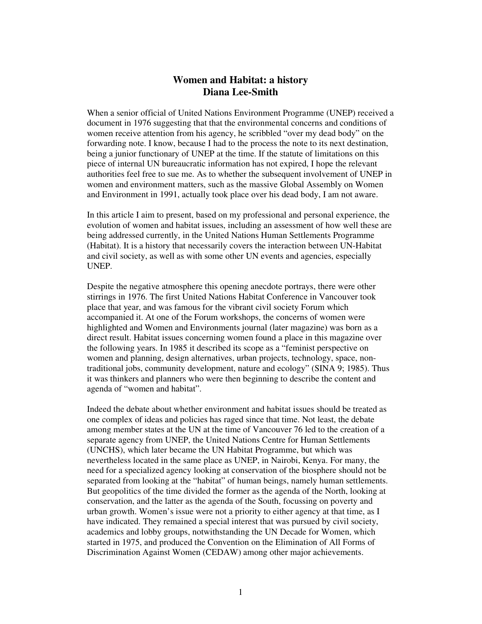## **Women and Habitat: a history Diana Lee-Smith**

When a senior official of United Nations Environment Programme (UNEP) received a document in 1976 suggesting that that the environmental concerns and conditions of women receive attention from his agency, he scribbled "over my dead body" on the forwarding note. I know, because I had to the process the note to its next destination, being a junior functionary of UNEP at the time. If the statute of limitations on this piece of internal UN bureaucratic information has not expired, I hope the relevant authorities feel free to sue me. As to whether the subsequent involvement of UNEP in women and environment matters, such as the massive Global Assembly on Women and Environment in 1991, actually took place over his dead body, I am not aware.

In this article I aim to present, based on my professional and personal experience, the evolution of women and habitat issues, including an assessment of how well these are being addressed currently, in the United Nations Human Settlements Programme (Habitat). It is a history that necessarily covers the interaction between UN-Habitat and civil society, as well as with some other UN events and agencies, especially UNEP.

Despite the negative atmosphere this opening anecdote portrays, there were other stirrings in 1976. The first United Nations Habitat Conference in Vancouver took place that year, and was famous for the vibrant civil society Forum which accompanied it. At one of the Forum workshops, the concerns of women were highlighted and Women and Environments journal (later magazine) was born as a direct result. Habitat issues concerning women found a place in this magazine over the following years. In 1985 it described its scope as a "feminist perspective on women and planning, design alternatives, urban projects, technology, space, nontraditional jobs, community development, nature and ecology" (SINA 9; 1985). Thus it was thinkers and planners who were then beginning to describe the content and agenda of "women and habitat".

Indeed the debate about whether environment and habitat issues should be treated as one complex of ideas and policies has raged since that time. Not least, the debate among member states at the UN at the time of Vancouver 76 led to the creation of a separate agency from UNEP, the United Nations Centre for Human Settlements (UNCHS), which later became the UN Habitat Programme, but which was nevertheless located in the same place as UNEP, in Nairobi, Kenya. For many, the need for a specialized agency looking at conservation of the biosphere should not be separated from looking at the "habitat" of human beings, namely human settlements. But geopolitics of the time divided the former as the agenda of the North, looking at conservation, and the latter as the agenda of the South, focussing on poverty and urban growth. Women's issue were not a priority to either agency at that time, as I have indicated. They remained a special interest that was pursued by civil society, academics and lobby groups, notwithstanding the UN Decade for Women, which started in 1975, and produced the Convention on the Elimination of All Forms of Discrimination Against Women (CEDAW) among other major achievements.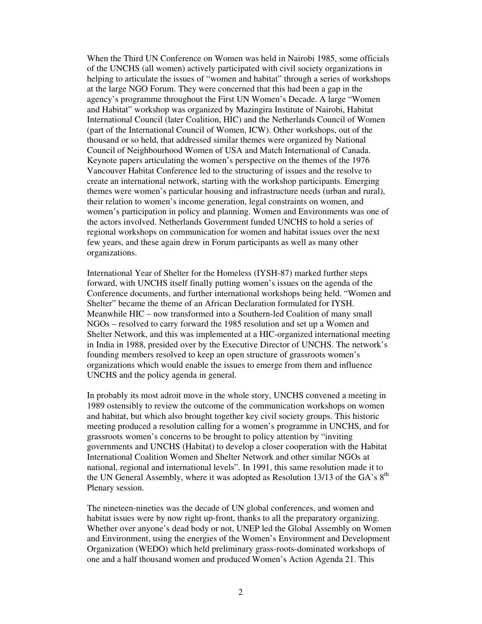When the Third UN Conference on Women was held in Nairobi 1985, some officials of the UNCHS (all women) actively participated with civil society organizations in helping to articulate the issues of "women and habitat" through a series of workshops at the large NGO Forum. They were concerned that this had been a gap in the agency's programme throughout the First UN Women's Decade. A large "Women and Habitat" workshop was organized by Mazingira Institute of Nairobi, Habitat International Council (later Coalition, HIC) and the Netherlands Council of Women (part of the International Council of Women, ICW). Other workshops, out of the thousand or so held, that addressed similar themes were organized by National Council of Neighbourhood Women of USA and Match International of Canada. Keynote papers articulating the women's perspective on the themes of the 1976 Vancouver Habitat Conference led to the structuring of issues and the resolve to create an international network, starting with the workshop participants. Emerging themes were women's particular housing and infrastructure needs (urban and rural), their relation to women's income generation, legal constraints on women, and women's participation in policy and planning. Women and Environments was one of the actors involved. Netherlands Government funded UNCHS to hold a series of regional workshops on communication for women and habitat issues over the next few years, and these again drew in Forum participants as well as many other organizations.

International Year of Shelter for the Homeless (IYSH-87) marked further steps forward, with UNCHS itself finally putting women's issues on the agenda of the Conference documents, and further international workshops being held. "Women and Shelter" became the theme of an African Declaration formulated for IYSH. Meanwhile HIC – now transformed into a Southern-led Coalition of many small NGOs – resolved to carry forward the 1985 resolution and set up a Women and Shelter Network, and this was implemented at a HIC-organized international meeting in India in 1988, presided over by the Executive Director of UNCHS. The network's founding members resolved to keep an open structure of grassroots women's organizations which would enable the issues to emerge from them and influence UNCHS and the policy agenda in general.

In probably its most adroit move in the whole story, UNCHS convened a meeting in 1989 ostensibly to review the outcome of the communication workshops on women and habitat, but which also brought together key civil society groups. This historic meeting produced a resolution calling for a women's programme in UNCHS, and for grassroots women's concerns to be brought to policy attention by "inviting governments and UNCHS (Habitat) to develop a closer cooperation with the Habitat International Coalition Women and Shelter Network and other similar NGOs at national, regional and international levels". In 1991, this same resolution made it to the UN General Assembly, where it was adopted as Resolution 13/13 of the GA's 8<sup>th</sup> Plenary session.

The nineteen-nineties was the decade of UN global conferences, and women and habitat issues were by now right up-front, thanks to all the preparatory organizing. Whether over anyone's dead body or not, UNEP led the Global Assembly on Women and Environment, using the energies of the Women's Environment and Development Organization (WEDO) which held preliminary grass-roots-dominated workshops of one and a half thousand women and produced Women's Action Agenda 21. This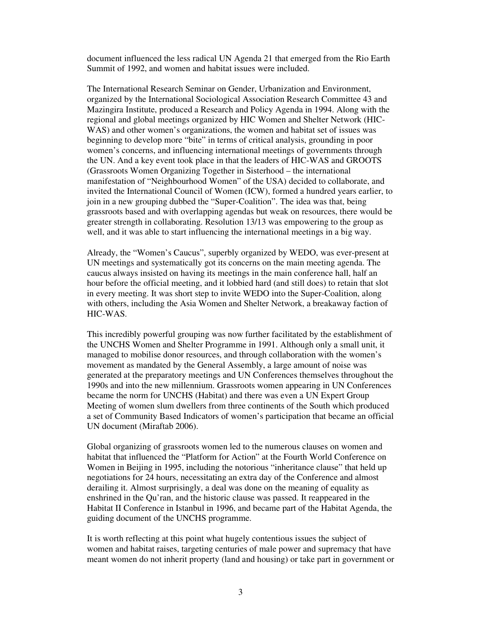document influenced the less radical UN Agenda 21 that emerged from the Rio Earth Summit of 1992, and women and habitat issues were included.

The International Research Seminar on Gender, Urbanization and Environment, organized by the International Sociological Association Research Committee 43 and Mazingira Institute, produced a Research and Policy Agenda in 1994. Along with the regional and global meetings organized by HIC Women and Shelter Network (HIC-WAS) and other women's organizations, the women and habitat set of issues was beginning to develop more "bite" in terms of critical analysis, grounding in poor women's concerns, and influencing international meetings of governments through the UN. And a key event took place in that the leaders of HIC-WAS and GROOTS (Grassroots Women Organizing Together in Sisterhood – the international manifestation of "Neighbourhood Women" of the USA) decided to collaborate, and invited the International Council of Women (ICW), formed a hundred years earlier, to join in a new grouping dubbed the "Super-Coalition". The idea was that, being grassroots based and with overlapping agendas but weak on resources, there would be greater strength in collaborating. Resolution 13/13 was empowering to the group as well, and it was able to start influencing the international meetings in a big way.

Already, the "Women's Caucus", superbly organized by WEDO, was ever-present at UN meetings and systematically got its concerns on the main meeting agenda. The caucus always insisted on having its meetings in the main conference hall, half an hour before the official meeting, and it lobbied hard (and still does) to retain that slot in every meeting. It was short step to invite WEDO into the Super-Coalition, along with others, including the Asia Women and Shelter Network, a breakaway faction of HIC-WAS.

This incredibly powerful grouping was now further facilitated by the establishment of the UNCHS Women and Shelter Programme in 1991. Although only a small unit, it managed to mobilise donor resources, and through collaboration with the women's movement as mandated by the General Assembly, a large amount of noise was generated at the preparatory meetings and UN Conferences themselves throughout the 1990s and into the new millennium. Grassroots women appearing in UN Conferences became the norm for UNCHS (Habitat) and there was even a UN Expert Group Meeting of women slum dwellers from three continents of the South which produced a set of Community Based Indicators of women's participation that became an official UN document (Miraftab 2006).

Global organizing of grassroots women led to the numerous clauses on women and habitat that influenced the "Platform for Action" at the Fourth World Conference on Women in Beijing in 1995, including the notorious "inheritance clause" that held up negotiations for 24 hours, necessitating an extra day of the Conference and almost derailing it. Almost surprisingly, a deal was done on the meaning of equality as enshrined in the Qu'ran, and the historic clause was passed. It reappeared in the Habitat II Conference in Istanbul in 1996, and became part of the Habitat Agenda, the guiding document of the UNCHS programme.

It is worth reflecting at this point what hugely contentious issues the subject of women and habitat raises, targeting centuries of male power and supremacy that have meant women do not inherit property (land and housing) or take part in government or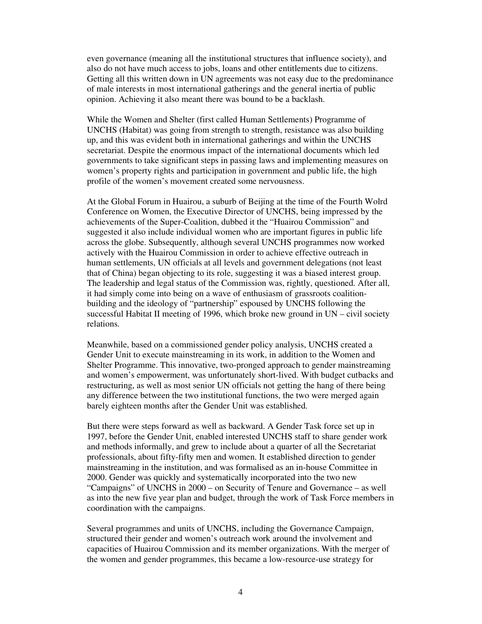even governance (meaning all the institutional structures that influence society), and also do not have much access to jobs, loans and other entitlements due to citizens. Getting all this written down in UN agreements was not easy due to the predominance of male interests in most international gatherings and the general inertia of public opinion. Achieving it also meant there was bound to be a backlash.

While the Women and Shelter (first called Human Settlements) Programme of UNCHS (Habitat) was going from strength to strength, resistance was also building up, and this was evident both in international gatherings and within the UNCHS secretariat. Despite the enormous impact of the international documents which led governments to take significant steps in passing laws and implementing measures on women's property rights and participation in government and public life, the high profile of the women's movement created some nervousness.

At the Global Forum in Huairou, a suburb of Beijing at the time of the Fourth Wolrd Conference on Women, the Executive Director of UNCHS, being impressed by the achievements of the Super-Coalition, dubbed it the "Huairou Commission" and suggested it also include individual women who are important figures in public life across the globe. Subsequently, although several UNCHS programmes now worked actively with the Huairou Commission in order to achieve effective outreach in human settlements, UN officials at all levels and government delegations (not least that of China) began objecting to its role, suggesting it was a biased interest group. The leadership and legal status of the Commission was, rightly, questioned. After all, it had simply come into being on a wave of enthusiasm of grassroots coalitionbuilding and the ideology of "partnership" espoused by UNCHS following the successful Habitat II meeting of 1996, which broke new ground in UN – civil society relations.

Meanwhile, based on a commissioned gender policy analysis, UNCHS created a Gender Unit to execute mainstreaming in its work, in addition to the Women and Shelter Programme. This innovative, two-pronged approach to gender mainstreaming and women's empowerment, was unfortunately short-lived. With budget cutbacks and restructuring, as well as most senior UN officials not getting the hang of there being any difference between the two institutional functions, the two were merged again barely eighteen months after the Gender Unit was established.

But there were steps forward as well as backward. A Gender Task force set up in 1997, before the Gender Unit, enabled interested UNCHS staff to share gender work and methods informally, and grew to include about a quarter of all the Secretariat professionals, about fifty-fifty men and women. It established direction to gender mainstreaming in the institution, and was formalised as an in-house Committee in 2000. Gender was quickly and systematically incorporated into the two new "Campaigns" of UNCHS in 2000 – on Security of Tenure and Governance – as well as into the new five year plan and budget, through the work of Task Force members in coordination with the campaigns.

Several programmes and units of UNCHS, including the Governance Campaign, structured their gender and women's outreach work around the involvement and capacities of Huairou Commission and its member organizations. With the merger of the women and gender programmes, this became a low-resource-use strategy for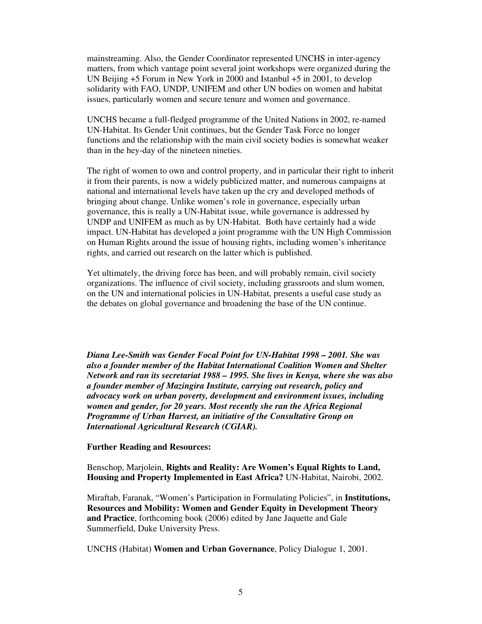mainstreaming. Also, the Gender Coordinator represented UNCHS in inter-agency matters, from which vantage point several joint workshops were organized during the UN Beijing +5 Forum in New York in 2000 and Istanbul +5 in 2001, to develop solidarity with FAO, UNDP, UNIFEM and other UN bodies on women and habitat issues, particularly women and secure tenure and women and governance.

UNCHS became a full-fledged programme of the United Nations in 2002, re-named UN-Habitat. Its Gender Unit continues, but the Gender Task Force no longer functions and the relationship with the main civil society bodies is somewhat weaker than in the hey-day of the nineteen nineties.

The right of women to own and control property, and in particular their right to inherit it from their parents, is now a widely publicized matter, and numerous campaigns at national and international levels have taken up the cry and developed methods of bringing about change. Unlike women's role in governance, especially urban governance, this is really a UN-Habitat issue, while governance is addressed by UNDP and UNIFEM as much as by UN-Habitat. Both have certainly had a wide impact. UN-Habitat has developed a joint programme with the UN High Commission on Human Rights around the issue of housing rights, including women's inheritance rights, and carried out research on the latter which is published.

Yet ultimately, the driving force has been, and will probably remain, civil society organizations. The influence of civil society, including grassroots and slum women, on the UN and international policies in UN-Habitat, presents a useful case study as the debates on global governance and broadening the base of the UN continue.

*Diana Lee-Smith was Gender Focal Point for UN-Habitat 1998 – 2001. She was also a founder member of the Habitat International Coalition Women and Shelter Network and ran its secretariat 1988 – 1995. She lives in Kenya, where she was also a founder member of Mazingira Institute, carrying out research, policy and advocacy work on urban poverty, development and environment issues, including women and gender, for 20 years. Most recently she ran the Africa Regional Programme of Urban Harvest, an initiative of the Consultative Group on International Agricultural Research (CGIAR).* 

## **Further Reading and Resources:**

Benschop, Marjolein, **Rights and Reality: Are Women's Equal Rights to Land, Housing and Property Implemented in East Africa?** UN-Habitat, Nairobi, 2002.

Miraftab, Faranak, "Women's Participation in Formulating Policies", in **Institutions, Resources and Mobility: Women and Gender Equity in Development Theory and Practice**, forthcoming book (2006) edited by Jane Jaquette and Gale Summerfield, Duke University Press.

UNCHS (Habitat) **Women and Urban Governance**, Policy Dialogue 1, 2001.